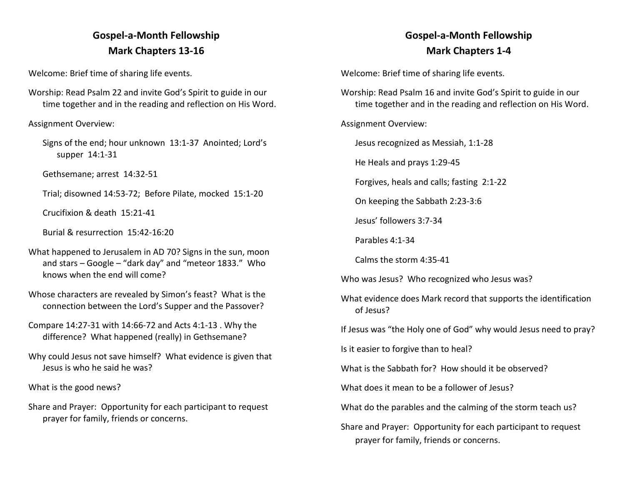## **Gospel-a-Month Fellowship Mark Chapters 13-16**

Welcome: Brief time of sharing life events.

Worship: Read Psalm 22 and invite God's Spirit to guide in our time together and in the reading and reflection on His Word.

Assignment Overview:

Signs of the end; hour unknown 13:1-37 Anointed; Lord's supper 14:1-31

Gethsemane; arrest 14:32-51

Trial; disowned 14:53-72; Before Pilate, mocked 15:1-20

Crucifixion & death 15:21-41

Burial & resurrection 15:42-16:20

- What happened to Jerusalem in AD 70? Signs in the sun, moon and stars – Google – "dark day" and "meteor 1833." Who knows when the end will come?
- Whose characters are revealed by Simon's feast? What is the connection between the Lord's Supper and the Passover?

Compare 14:27-31 with 14:66-72 and Acts 4:1-13 . Why the difference? What happened (really) in Gethsemane?

Why could Jesus not save himself? What evidence is given that Jesus is who he said he was?

What is the good news?

Share and Prayer: Opportunity for each participant to request prayer for family, friends or concerns.

## **Gospel-a-Month Fellowship Mark Chapters 1-4**

Welcome: Brief time of sharing life events.

Worship: Read Psalm 16 and invite God's Spirit to guide in our time together and in the reading and reflection on His Word.

Assignment Overview:

Jesus recognized as Messiah, 1:1-28

He Heals and prays 1:29-45

Forgives, heals and calls; fasting 2:1-22

On keeping the Sabbath 2:23-3:6

Jesus' followers 3:7-34

Parables 4:1-34

Calms the storm 4:35-41

Who was Jesus? Who recognized who Jesus was?

What evidence does Mark record that supports the identification of Jesus?

If Jesus was "the Holy one of God" why would Jesus need to pray?

Is it easier to forgive than to heal?

What is the Sabbath for? How should it be observed?

What does it mean to be a follower of Jesus?

What do the parables and the calming of the storm teach us?

Share and Prayer: Opportunity for each participant to request prayer for family, friends or concerns.